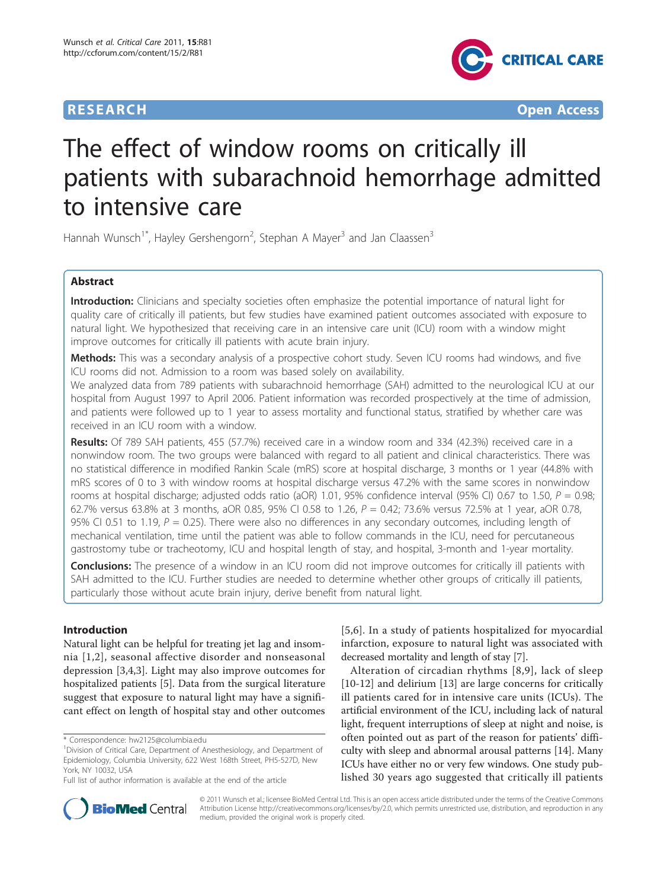

**RESEARCH CONTROL** CONTROL CONTROL CONTROL CONTROL CONTROL CONTROL CONTROL CONTROL CONTROL CONTROL CONTROL CONTROL CONTROL CONTROL CONTROL CONTROL CONTROL CONTROL CONTROL CONTROL CONTROL CONTROL CONTROL CONTROL CONTROL CON

# The effect of window rooms on critically ill patients with subarachnoid hemorrhage admitted to intensive care

Hannah Wunsch<sup>1\*</sup>, Hayley Gershengorn<sup>2</sup>, Stephan A Mayer<sup>3</sup> and Jan Claassen<sup>3</sup>

# Abstract

Introduction: Clinicians and specialty societies often emphasize the potential importance of natural light for quality care of critically ill patients, but few studies have examined patient outcomes associated with exposure to natural light. We hypothesized that receiving care in an intensive care unit (ICU) room with a window might improve outcomes for critically ill patients with acute brain injury.

Methods: This was a secondary analysis of a prospective cohort study. Seven ICU rooms had windows, and five ICU rooms did not. Admission to a room was based solely on availability.

We analyzed data from 789 patients with subarachnoid hemorrhage (SAH) admitted to the neurological ICU at our hospital from August 1997 to April 2006. Patient information was recorded prospectively at the time of admission, and patients were followed up to 1 year to assess mortality and functional status, stratified by whether care was received in an ICU room with a window.

Results: Of 789 SAH patients, 455 (57.7%) received care in a window room and 334 (42.3%) received care in a nonwindow room. The two groups were balanced with regard to all patient and clinical characteristics. There was no statistical difference in modified Rankin Scale (mRS) score at hospital discharge, 3 months or 1 year (44.8% with mRS scores of 0 to 3 with window rooms at hospital discharge versus 47.2% with the same scores in nonwindow rooms at hospital discharge; adjusted odds ratio (aOR) 1.01, 95% confidence interval (95% CI) 0.67 to 1.50,  $P = 0.98$ ; 62.7% versus 63.8% at 3 months, aOR 0.85, 95% CI 0.58 to 1.26,  $P = 0.42$ ; 73.6% versus 72.5% at 1 year, aOR 0.78, 95% CI 0.51 to 1.19,  $P = 0.25$ ). There were also no differences in any secondary outcomes, including length of mechanical ventilation, time until the patient was able to follow commands in the ICU, need for percutaneous gastrostomy tube or tracheotomy, ICU and hospital length of stay, and hospital, 3-month and 1-year mortality.

**Conclusions:** The presence of a window in an ICU room did not improve outcomes for critically ill patients with SAH admitted to the ICU. Further studies are needed to determine whether other groups of critically ill patients, particularly those without acute brain injury, derive benefit from natural light.

# Introduction

Natural light can be helpful for treating jet lag and insomnia [[1](#page-8-0),[2\]](#page-8-0), seasonal affective disorder and nonseasonal depression [\[3,4](#page-9-0),[3\]](#page-9-0). Light may also improve outcomes for hospitalized patients [[5\]](#page-9-0). Data from the surgical literature suggest that exposure to natural light may have a significant effect on length of hospital stay and other outcomes

[[5,6\]](#page-9-0). In a study of patients hospitalized for myocardial infarction, exposure to natural light was associated with decreased mortality and length of stay [[7](#page-9-0)].

Alteration of circadian rhythms [[8](#page-9-0),[9\]](#page-9-0), lack of sleep [[10-12](#page-9-0)] and delirium [[13\]](#page-9-0) are large concerns for critically ill patients cared for in intensive care units (ICUs). The artificial environment of the ICU, including lack of natural light, frequent interruptions of sleep at night and noise, is often pointed out as part of the reason for patients' difficulty with sleep and abnormal arousal patterns [\[14\]](#page-9-0). Many ICUs have either no or very few windows. One study published 30 years ago suggested that critically ill patients



© 2011 Wunsch et al.; licensee BioMed Central Ltd. This is an open access article distributed under the terms of the Creative Commons Attribution License [http://creativecommons.org/licenses/by/2.0,](http://creativecommons.org/licenses/by/2.0) which permits unrestricted use, distribution, and reproduction in any medium, provided the original work is properly cited.

<sup>\*</sup> Correspondence: [hw2125@columbia.edu](mailto:hw2125@columbia.edu)

<sup>&</sup>lt;sup>1</sup> Division of Critical Care, Department of Anesthesiology, and Department of Epidemiology, Columbia University, 622 West 168th Street, PH5-527D, New York, NY 10032, USA

Full list of author information is available at the end of the article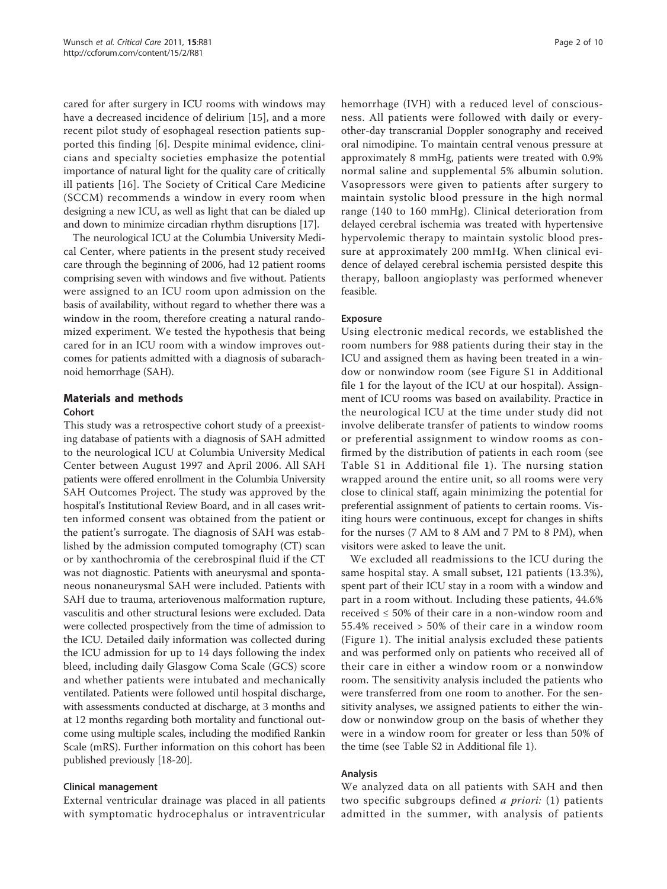cared for after surgery in ICU rooms with windows may have a decreased incidence of delirium [[15\]](#page-9-0), and a more recent pilot study of esophageal resection patients supported this finding [\[6](#page-9-0)]. Despite minimal evidence, clinicians and specialty societies emphasize the potential importance of natural light for the quality care of critically ill patients [[16\]](#page-9-0). The Society of Critical Care Medicine (SCCM) recommends a window in every room when designing a new ICU, as well as light that can be dialed up and down to minimize circadian rhythm disruptions [[17](#page-9-0)].

The neurological ICU at the Columbia University Medical Center, where patients in the present study received care through the beginning of 2006, had 12 patient rooms comprising seven with windows and five without. Patients were assigned to an ICU room upon admission on the basis of availability, without regard to whether there was a window in the room, therefore creating a natural randomized experiment. We tested the hypothesis that being cared for in an ICU room with a window improves outcomes for patients admitted with a diagnosis of subarachnoid hemorrhage (SAH).

# Materials and methods

#### Cohort

This study was a retrospective cohort study of a preexisting database of patients with a diagnosis of SAH admitted to the neurological ICU at Columbia University Medical Center between August 1997 and April 2006. All SAH patients were offered enrollment in the Columbia University SAH Outcomes Project. The study was approved by the hospital's Institutional Review Board, and in all cases written informed consent was obtained from the patient or the patient's surrogate. The diagnosis of SAH was established by the admission computed tomography (CT) scan or by xanthochromia of the cerebrospinal fluid if the CT was not diagnostic. Patients with aneurysmal and spontaneous nonaneurysmal SAH were included. Patients with SAH due to trauma, arteriovenous malformation rupture, vasculitis and other structural lesions were excluded. Data were collected prospectively from the time of admission to the ICU. Detailed daily information was collected during the ICU admission for up to 14 days following the index bleed, including daily Glasgow Coma Scale (GCS) score and whether patients were intubated and mechanically ventilated. Patients were followed until hospital discharge, with assessments conducted at discharge, at 3 months and at 12 months regarding both mortality and functional outcome using multiple scales, including the modified Rankin Scale (mRS). Further information on this cohort has been published previously [[18-20\]](#page-9-0).

# Clinical management

External ventricular drainage was placed in all patients with symptomatic hydrocephalus or intraventricular hemorrhage (IVH) with a reduced level of consciousness. All patients were followed with daily or everyother-day transcranial Doppler sonography and received oral nimodipine. To maintain central venous pressure at approximately 8 mmHg, patients were treated with 0.9% normal saline and supplemental 5% albumin solution. Vasopressors were given to patients after surgery to maintain systolic blood pressure in the high normal range (140 to 160 mmHg). Clinical deterioration from delayed cerebral ischemia was treated with hypertensive hypervolemic therapy to maintain systolic blood pressure at approximately 200 mmHg. When clinical evidence of delayed cerebral ischemia persisted despite this therapy, balloon angioplasty was performed whenever feasible.

# Exposure

Using electronic medical records, we established the room numbers for 988 patients during their stay in the ICU and assigned them as having been treated in a window or nonwindow room (see Figure S1 in Additional file [1](#page-8-0) for the layout of the ICU at our hospital). Assignment of ICU rooms was based on availability. Practice in the neurological ICU at the time under study did not involve deliberate transfer of patients to window rooms or preferential assignment to window rooms as confirmed by the distribution of patients in each room (see Table S1 in Additional file [1\)](#page-8-0). The nursing station wrapped around the entire unit, so all rooms were very close to clinical staff, again minimizing the potential for preferential assignment of patients to certain rooms. Visiting hours were continuous, except for changes in shifts for the nurses (7 AM to 8 AM and 7 PM to 8 PM), when visitors were asked to leave the unit.

We excluded all readmissions to the ICU during the same hospital stay. A small subset, 121 patients (13.3%), spent part of their ICU stay in a room with a window and part in a room without. Including these patients, 44.6% received  $\leq 50\%$  of their care in a non-window room and 55.4% received > 50% of their care in a window room (Figure [1\)](#page-2-0). The initial analysis excluded these patients and was performed only on patients who received all of their care in either a window room or a nonwindow room. The sensitivity analysis included the patients who were transferred from one room to another. For the sensitivity analyses, we assigned patients to either the window or nonwindow group on the basis of whether they were in a window room for greater or less than 50% of the time (see Table S2 in Additional file [1](#page-8-0)).

# Analysis

We analyzed data on all patients with SAH and then two specific subgroups defined a priori: (1) patients admitted in the summer, with analysis of patients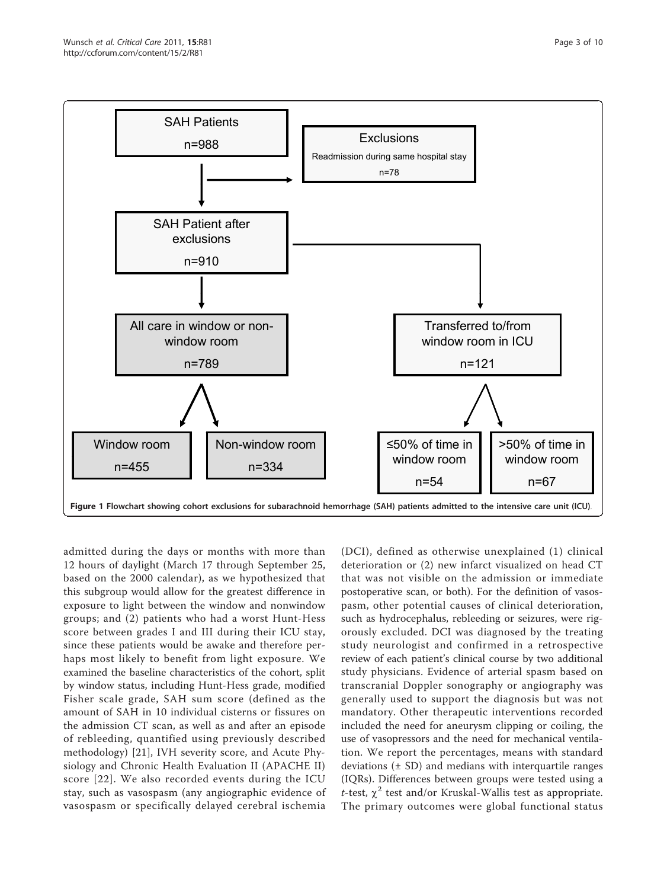<span id="page-2-0"></span>

admitted during the days or months with more than 12 hours of daylight (March 17 through September 25, based on the 2000 calendar), as we hypothesized that this subgroup would allow for the greatest difference in exposure to light between the window and nonwindow groups; and (2) patients who had a worst Hunt-Hess score between grades I and III during their ICU stay, since these patients would be awake and therefore perhaps most likely to benefit from light exposure. We examined the baseline characteristics of the cohort, split by window status, including Hunt-Hess grade, modified Fisher scale grade, SAH sum score (defined as the amount of SAH in 10 individual cisterns or fissures on the admission CT scan, as well as and after an episode of rebleeding, quantified using previously described methodology) [\[21](#page-9-0)], IVH severity score, and Acute Physiology and Chronic Health Evaluation II (APACHE II) score [[22\]](#page-9-0). We also recorded events during the ICU stay, such as vasospasm (any angiographic evidence of vasospasm or specifically delayed cerebral ischemia

(DCI), defined as otherwise unexplained (1) clinical deterioration or (2) new infarct visualized on head CT that was not visible on the admission or immediate postoperative scan, or both). For the definition of vasospasm, other potential causes of clinical deterioration, such as hydrocephalus, rebleeding or seizures, were rigorously excluded. DCI was diagnosed by the treating study neurologist and confirmed in a retrospective review of each patient's clinical course by two additional study physicians. Evidence of arterial spasm based on transcranial Doppler sonography or angiography was generally used to support the diagnosis but was not mandatory. Other therapeutic interventions recorded included the need for aneurysm clipping or coiling, the use of vasopressors and the need for mechanical ventilation. We report the percentages, means with standard deviations  $(\pm SD)$  and medians with interquartile ranges (IQRs). Differences between groups were tested using a t-test,  $\chi^2$  test and/or Kruskal-Wallis test as appropriate. The primary outcomes were global functional status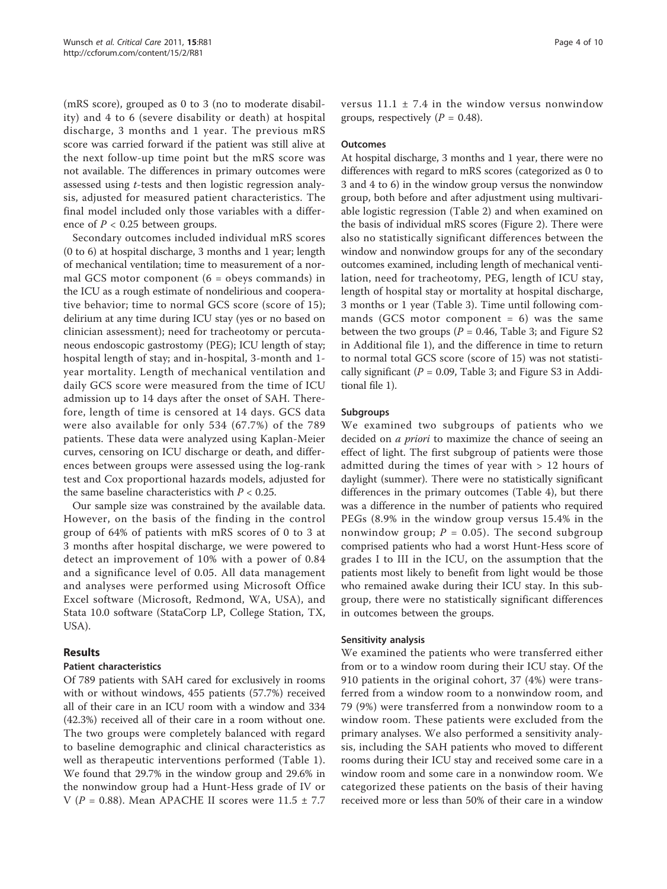(mRS score), grouped as 0 to 3 (no to moderate disability) and 4 to 6 (severe disability or death) at hospital discharge, 3 months and 1 year. The previous mRS score was carried forward if the patient was still alive at the next follow-up time point but the mRS score was not available. The differences in primary outcomes were assessed using t-tests and then logistic regression analysis, adjusted for measured patient characteristics. The final model included only those variables with a difference of  $P < 0.25$  between groups.

Secondary outcomes included individual mRS scores (0 to 6) at hospital discharge, 3 months and 1 year; length of mechanical ventilation; time to measurement of a normal GCS motor component  $(6 =$  obeys commands) in the ICU as a rough estimate of nondelirious and cooperative behavior; time to normal GCS score (score of 15); delirium at any time during ICU stay (yes or no based on clinician assessment); need for tracheotomy or percutaneous endoscopic gastrostomy (PEG); ICU length of stay; hospital length of stay; and in-hospital, 3-month and 1 year mortality. Length of mechanical ventilation and daily GCS score were measured from the time of ICU admission up to 14 days after the onset of SAH. Therefore, length of time is censored at 14 days. GCS data were also available for only 534 (67.7%) of the 789 patients. These data were analyzed using Kaplan-Meier curves, censoring on ICU discharge or death, and differences between groups were assessed using the log-rank test and Cox proportional hazards models, adjusted for the same baseline characteristics with  $P < 0.25$ .

Our sample size was constrained by the available data. However, on the basis of the finding in the control group of 64% of patients with mRS scores of 0 to 3 at 3 months after hospital discharge, we were powered to detect an improvement of 10% with a power of 0.84 and a significance level of 0.05. All data management and analyses were performed using Microsoft Office Excel software (Microsoft, Redmond, WA, USA), and Stata 10.0 software (StataCorp LP, College Station, TX, USA).

# Results

# Patient characteristics

Of 789 patients with SAH cared for exclusively in rooms with or without windows, 455 patients (57.7%) received all of their care in an ICU room with a window and 334 (42.3%) received all of their care in a room without one. The two groups were completely balanced with regard to baseline demographic and clinical characteristics as well as therapeutic interventions performed (Table [1\)](#page-4-0). We found that 29.7% in the window group and 29.6% in the nonwindow group had a Hunt-Hess grade of IV or V ( $P = 0.88$ ). Mean APACHE II scores were  $11.5 \pm 7.7$  versus  $11.1 \pm 7.4$  in the window versus nonwindow groups, respectively  $(P = 0.48)$ .

#### **Outcomes**

At hospital discharge, 3 months and 1 year, there were no differences with regard to mRS scores (categorized as 0 to 3 and 4 to 6) in the window group versus the nonwindow group, both before and after adjustment using multivariable logistic regression (Table [2\)](#page-5-0) and when examined on the basis of individual mRS scores (Figure [2\)](#page-5-0). There were also no statistically significant differences between the window and nonwindow groups for any of the secondary outcomes examined, including length of mechanical ventilation, need for tracheotomy, PEG, length of ICU stay, length of hospital stay or mortality at hospital discharge, 3 months or 1 year (Table [3\)](#page-6-0). Time until following commands (GCS motor component  $= 6$ ) was the same between the two groups ( $P = 0.46$ , Table [3](#page-6-0); and Figure S2 in Additional file [1\)](#page-8-0), and the difference in time to return to normal total GCS score (score of 15) was not statistically significant ( $P = 0.09$ , Table [3](#page-6-0); and Figure S3 in Additional file [1](#page-8-0)).

#### Subgroups

We examined two subgroups of patients who we decided on a priori to maximize the chance of seeing an effect of light. The first subgroup of patients were those admitted during the times of year with > 12 hours of daylight (summer). There were no statistically significant differences in the primary outcomes (Table [4](#page-7-0)), but there was a difference in the number of patients who required PEGs (8.9% in the window group versus 15.4% in the nonwindow group;  $P = 0.05$ ). The second subgroup comprised patients who had a worst Hunt-Hess score of grades I to III in the ICU, on the assumption that the patients most likely to benefit from light would be those who remained awake during their ICU stay. In this subgroup, there were no statistically significant differences in outcomes between the groups.

#### Sensitivity analysis

We examined the patients who were transferred either from or to a window room during their ICU stay. Of the 910 patients in the original cohort, 37 (4%) were transferred from a window room to a nonwindow room, and 79 (9%) were transferred from a nonwindow room to a window room. These patients were excluded from the primary analyses. We also performed a sensitivity analysis, including the SAH patients who moved to different rooms during their ICU stay and received some care in a window room and some care in a nonwindow room. We categorized these patients on the basis of their having received more or less than 50% of their care in a window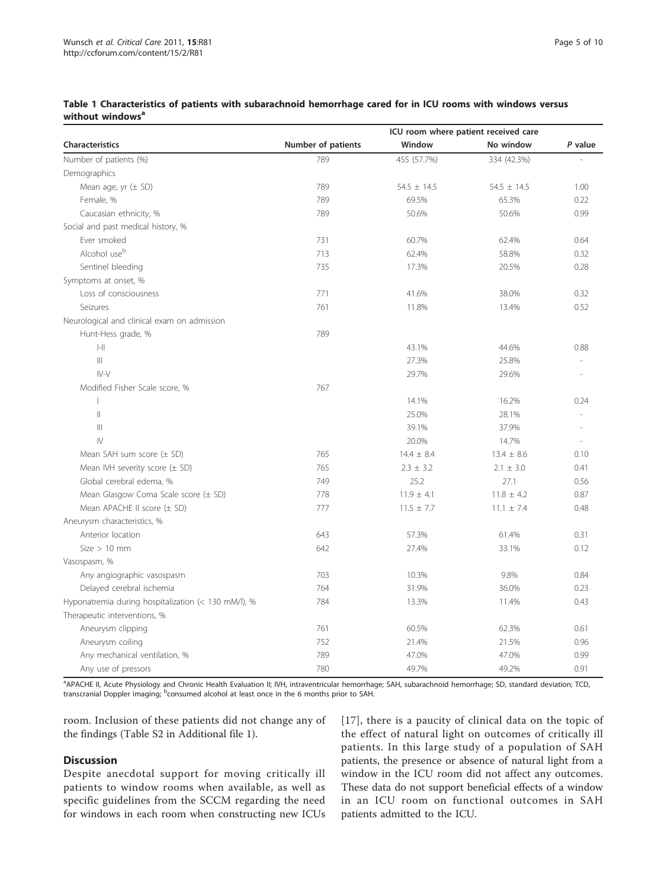|                                                     |                    | ICU room where patient received care |                 |         |
|-----------------------------------------------------|--------------------|--------------------------------------|-----------------|---------|
| <b>Characteristics</b>                              | Number of patients | Window                               | No window       | P value |
| Number of patients (%)                              | 789                | 455 (57.7%)                          | 334 (42.3%)     |         |
| Demographics                                        |                    |                                      |                 |         |
| Mean age, yr $(\pm$ SD)                             | 789                | $54.5 \pm 14.5$                      | $54.5 \pm 14.5$ | 1.00    |
| Female, %                                           | 789                | 69.5%                                | 65.3%           | 0.22    |
| Caucasian ethnicity, %                              | 789                | 50.6%                                | 50.6%           | 0.99    |
| Social and past medical history, %                  |                    |                                      |                 |         |
| Ever smoked                                         | 731                | 60.7%                                | 62.4%           | 0.64    |
| Alcohol use <sup>b</sup>                            | 713                | 62.4%                                | 58.8%           | 0.32    |
| Sentinel bleeding                                   | 735                | 17.3%                                | 20.5%           | 0.28    |
| Symptoms at onset, %                                |                    |                                      |                 |         |
| Loss of consciousness                               | 771                | 41.6%                                | 38.0%           | 0.32    |
| Seizures                                            | 761                | 11.8%                                | 13.4%           | 0.52    |
| Neurological and clinical exam on admission         |                    |                                      |                 |         |
| Hunt-Hess grade, %                                  | 789                |                                      |                 |         |
| $\left\vert -\right\vert \right\vert$               |                    | 43.1%                                | 44.6%           | 0.88    |
| $\vert\vert\vert$                                   |                    | 27.3%                                | 25.8%           |         |
| $IV-V$                                              |                    | 29.7%                                | 29.6%           |         |
| Modified Fisher Scale score, %                      | 767                |                                      |                 |         |
| $\mathbf{I}$                                        |                    | 14.1%                                | 16.2%           | 0.24    |
| $\mathbf{  }$                                       |                    | 25.0%                                | 28.1%           |         |
| $\left\vert \right\vert \right\vert$                |                    | 39.1%                                | 37.9%           |         |
| $\mathsf{IV}$                                       |                    | 20.0%                                | 14.7%           |         |
| Mean SAH sum score $(\pm$ SD)                       | 765                | $14.4 \pm 8.4$                       | $13.4 \pm 8.6$  | 0.10    |
| Mean IVH severity score $(\pm$ SD)                  | 765                | $2.3 \pm 3.2$                        | $2.1 \pm 3.0$   | 0.41    |
| Global cerebral edema, %                            | 749                | 25.2                                 | 27.1            | 0.56    |
| Mean Glasgow Coma Scale score $(\pm$ SD)            | 778                | $11.9 \pm 4.1$                       | $11.8 \pm 4.2$  | 0.87    |
| Mean APACHE II score $(\pm$ SD)                     | 777                | $11.5 \pm 7.7$                       | $11.1 \pm 7.4$  | 0.48    |
| Aneurysm characteristics, %                         |                    |                                      |                 |         |
| Anterior location                                   | 643                | 57.3%                                | 61.4%           | 0.31    |
| $Size > 10$ mm                                      | 642                | 27.4%                                | 33.1%           | 0.12    |
| Vasospasm, %                                        |                    |                                      |                 |         |
| Any angiographic vasospasm                          | 703                | 10.3%                                | 9.8%            | 0.84    |
| Delayed cerebral ischemia                           | 764                | 31.9%                                | 36.0%           | 0.23    |
| Hyponatremia during hospitalization (< 130 mM/l), % | 784                | 13.3%                                | 11.4%           | 0.43    |
| Therapeutic interventions, %                        |                    |                                      |                 |         |
| Aneurysm clipping                                   | 761                | 60.5%                                | 62.3%           | 0.61    |
| Aneurysm coiling                                    | 752                | 21.4%                                | 21.5%           | 0.96    |
| Any mechanical ventilation, %                       | 789                | 47.0%                                | 47.0%           | 0.99    |
| Any use of pressors                                 | 780                | 49.7%                                | 49.2%           | 0.91    |

# <span id="page-4-0"></span>Table 1 Characteristics of patients with subarachnoid hemorrhage cared for in ICU rooms with windows versus without windows<sup>a</sup>

<sup>a</sup> APACHE II, Acute Physiology and Chronic Health Evaluation II; IVH, intraventricular hemorrhage; SAH, subarachnoid hemorrhage; SD, standard deviation; TCD, transcranial Doppler imaging; <sup>b</sup>consumed alcohol at least once in the 6 months prior to SAH.

room. Inclusion of these patients did not change any of the findings (Table S2 in Additional file [1\)](#page-8-0).

# **Discussion**

Despite anecdotal support for moving critically ill patients to window rooms when available, as well as specific guidelines from the SCCM regarding the need for windows in each room when constructing new ICUs [[17](#page-9-0)], there is a paucity of clinical data on the topic of the effect of natural light on outcomes of critically ill patients. In this large study of a population of SAH patients, the presence or absence of natural light from a window in the ICU room did not affect any outcomes. These data do not support beneficial effects of a window in an ICU room on functional outcomes in SAH patients admitted to the ICU.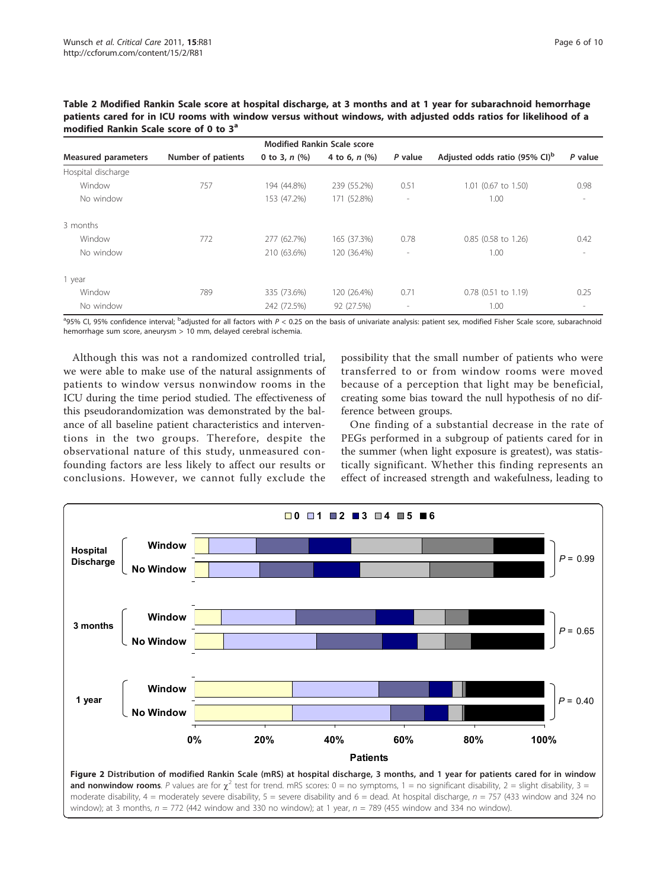<span id="page-5-0"></span>Table 2 Modified Rankin Scale score at hospital discharge, at 3 months and at 1 year for subarachnoid hemorrhage patients cared for in ICU rooms with window versus without windows, with adjusted odds ratios for likelihood of a modified Rankin Scale score of 0 to 3<sup>a</sup>

| <b>Modified Rankin Scale score</b> |                    |                    |                 |                          |                                           |                          |  |
|------------------------------------|--------------------|--------------------|-----------------|--------------------------|-------------------------------------------|--------------------------|--|
| <b>Measured parameters</b>         | Number of patients | 0 to 3, $n$ $(\%)$ | 4 to 6, $n$ (%) | P value                  | Adjusted odds ratio (95% CI) <sup>b</sup> | P value                  |  |
| Hospital discharge                 |                    |                    |                 |                          |                                           |                          |  |
| Window                             | 757                | 194 (44.8%)        | 239 (55.2%)     | 0.51                     | 1.01 (0.67 to 1.50)                       | 0.98                     |  |
| No window                          |                    | 153 (47.2%)        | 171 (52.8%)     | $\overline{\phantom{a}}$ | 1.00                                      | $\overline{\phantom{a}}$ |  |
| 3 months                           |                    |                    |                 |                          |                                           |                          |  |
| Window                             | 772                | 277 (62.7%)        | 165 (37.3%)     | 0.78                     | 0.85 (0.58 to 1.26)                       | 0.42                     |  |
| No window                          |                    | 210 (63.6%)        | 120 (36.4%)     | $\overline{\phantom{a}}$ | 1.00                                      | $\overline{\phantom{a}}$ |  |
| 1 year                             |                    |                    |                 |                          |                                           |                          |  |
| Window                             | 789                | 335 (73.6%)        | 120 (26.4%)     | 0.71                     | $0.78$ (0.51 to 1.19)                     | 0.25                     |  |
| No window                          |                    | 242 (72.5%)        | 92 (27.5%)      | $\overline{\phantom{a}}$ | 1.00                                      | $\overline{\phantom{a}}$ |  |

<sup>a</sup>95% CI, 95% confidence interval; <sup>b</sup>adjusted for all factors with P < 0.25 on the basis of univariate analysis: patient sex, modified Fisher Scale score, subarachnoid hemorrhage sum score, aneurysm > 10 mm, delayed cerebral ischemia.

Although this was not a randomized controlled trial, we were able to make use of the natural assignments of patients to window versus nonwindow rooms in the ICU during the time period studied. The effectiveness of this pseudorandomization was demonstrated by the balance of all baseline patient characteristics and interventions in the two groups. Therefore, despite the observational nature of this study, unmeasured confounding factors are less likely to affect our results or conclusions. However, we cannot fully exclude the

possibility that the small number of patients who were transferred to or from window rooms were moved because of a perception that light may be beneficial, creating some bias toward the null hypothesis of no difference between groups.

One finding of a substantial decrease in the rate of PEGs performed in a subgroup of patients cared for in the summer (when light exposure is greatest), was statistically significant. Whether this finding represents an effect of increased strength and wakefulness, leading to

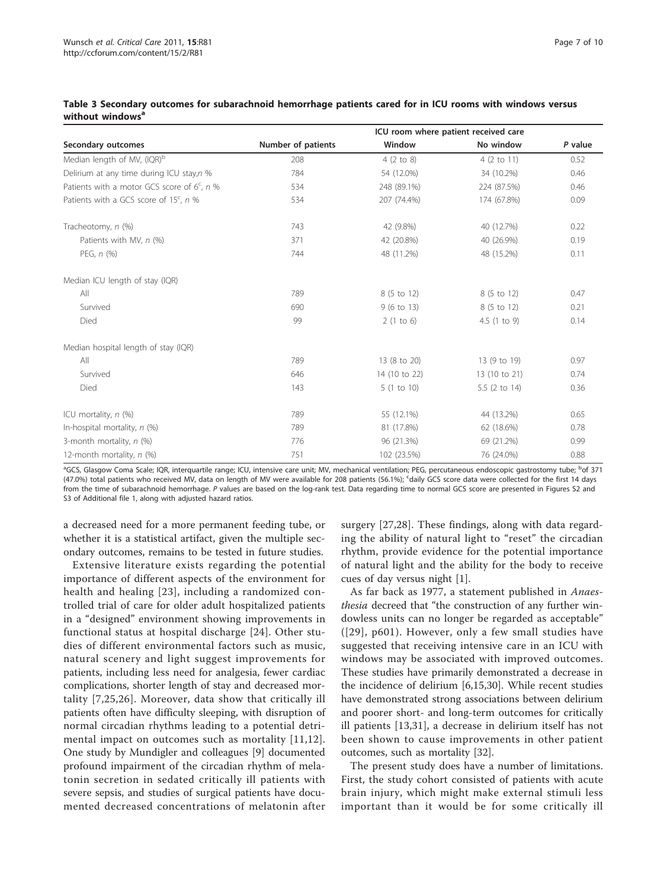|                                                      | ICU room where patient received care |                       |                |         |  |  |  |
|------------------------------------------------------|--------------------------------------|-----------------------|----------------|---------|--|--|--|
| Secondary outcomes                                   | Number of patients                   | Window                | No window      | P value |  |  |  |
| Median length of MV, (IQR) <sup>b</sup>              | 208                                  | 4(2 to 8)             | 4 (2 to 11)    | 0.52    |  |  |  |
| Delirium at any time during ICU stay,n %             | 784                                  | 54 (12.0%)            | 34 (10.2%)     | 0.46    |  |  |  |
| Patients with a motor GCS score of $6c$ , n %        | 534                                  | 248 (89.1%)           | 224 (87.5%)    | 0.46    |  |  |  |
| Patients with a GCS score of 15 <sup>c</sup> , $n$ % | 534                                  | 207 (74.4%)           | 174 (67.8%)    | 0.09    |  |  |  |
| Tracheotomy, n (%)                                   | 743                                  | 42 (9.8%)             | 40 (12.7%)     | 0.22    |  |  |  |
| Patients with MV, n (%)                              | 371                                  | 42 (20.8%)            | 40 (26.9%)     | 0.19    |  |  |  |
| PEG, $n$ $(\%)$                                      | 744                                  | 48 (11.2%)            | 48 (15.2%)     | 0.11    |  |  |  |
| Median ICU length of stay (IQR)                      |                                      |                       |                |         |  |  |  |
| All                                                  | 789                                  | 8 (5 to 12)           | 8 (5 to 12)    | 0.47    |  |  |  |
| Survived                                             | 690                                  | $9(6 \text{ to } 13)$ | 8 (5 to 12)    | 0.21    |  |  |  |
| Died                                                 | 99                                   | 2(1 to 6)             | 4.5 $(1 to 9)$ | 0.14    |  |  |  |
| Median hospital length of stay (IQR)                 |                                      |                       |                |         |  |  |  |
| All                                                  | 789                                  | 13 (8 to 20)          | 13 (9 to 19)   | 0.97    |  |  |  |
| Survived                                             | 646                                  | 14 (10 to 22)         | 13 (10 to 21)  | 0.74    |  |  |  |
| Died                                                 | 143                                  | 5(1 to 10)            | 5.5 (2 to 14)  | 0.36    |  |  |  |
| ICU mortality, n (%)                                 | 789                                  | 55 (12.1%)            | 44 (13.2%)     | 0.65    |  |  |  |
| In-hospital mortality, $n$ (%)                       | 789                                  | 81 (17.8%)            | 62 (18.6%)     | 0.78    |  |  |  |
| 3-month mortality, $n$ (%)                           | 776                                  | 96 (21.3%)            | 69 (21.2%)     | 0.99    |  |  |  |
| 12-month mortality, n (%)                            | 751                                  | 102 (23.5%)           | 76 (24.0%)     | 0.88    |  |  |  |

#### <span id="page-6-0"></span>Table 3 Secondary outcomes for subarachnoid hemorrhage patients cared for in ICU rooms with windows versus without windows<sup>a</sup>

<sup>a</sup>GCS, Glasgow Coma Scale; IQR, interquartile range; ICU, intensive care unit; MV, mechanical ventilation; PEG, percutaneous endoscopic gastrostomy tube; <sup>b</sup>of 371 (47.0%) total patients who received MV, data on length of MV were available for 208 patients (56.1%); <sup>c</sup>daily GCS score data were collected for the first 14 days from the time of subarachnoid hemorrhage. P values are based on the log-rank test. Data regarding time to normal GCS score are presented in Figures S2 and S3 of Additional file [1](#page-8-0), along with adjusted hazard ratios.

a decreased need for a more permanent feeding tube, or whether it is a statistical artifact, given the multiple secondary outcomes, remains to be tested in future studies.

Extensive literature exists regarding the potential importance of different aspects of the environment for health and healing [[23\]](#page-9-0), including a randomized controlled trial of care for older adult hospitalized patients in a "designed" environment showing improvements in functional status at hospital discharge [\[24\]](#page-9-0). Other studies of different environmental factors such as music, natural scenery and light suggest improvements for patients, including less need for analgesia, fewer cardiac complications, shorter length of stay and decreased mortality [\[7,25](#page-9-0),[26](#page-9-0)]. Moreover, data show that critically ill patients often have difficulty sleeping, with disruption of normal circadian rhythms leading to a potential detrimental impact on outcomes such as mortality [[11](#page-9-0),[12](#page-9-0)]. One study by Mundigler and colleagues [\[9](#page-9-0)] documented profound impairment of the circadian rhythm of melatonin secretion in sedated critically ill patients with severe sepsis, and studies of surgical patients have documented decreased concentrations of melatonin after surgery [[27,28](#page-9-0)]. These findings, along with data regarding the ability of natural light to "reset" the circadian rhythm, provide evidence for the potential importance of natural light and the ability for the body to receive cues of day versus night [\[1](#page-8-0)].

As far back as 1977, a statement published in Anaesthesia decreed that "the construction of any further windowless units can no longer be regarded as acceptable" ([[29](#page-9-0)], p601). However, only a few small studies have suggested that receiving intensive care in an ICU with windows may be associated with improved outcomes. These studies have primarily demonstrated a decrease in the incidence of delirium [[6,15,30\]](#page-9-0). While recent studies have demonstrated strong associations between delirium and poorer short- and long-term outcomes for critically ill patients [[13,31](#page-9-0)], a decrease in delirium itself has not been shown to cause improvements in other patient outcomes, such as mortality [\[32\]](#page-9-0).

The present study does have a number of limitations. First, the study cohort consisted of patients with acute brain injury, which might make external stimuli less important than it would be for some critically ill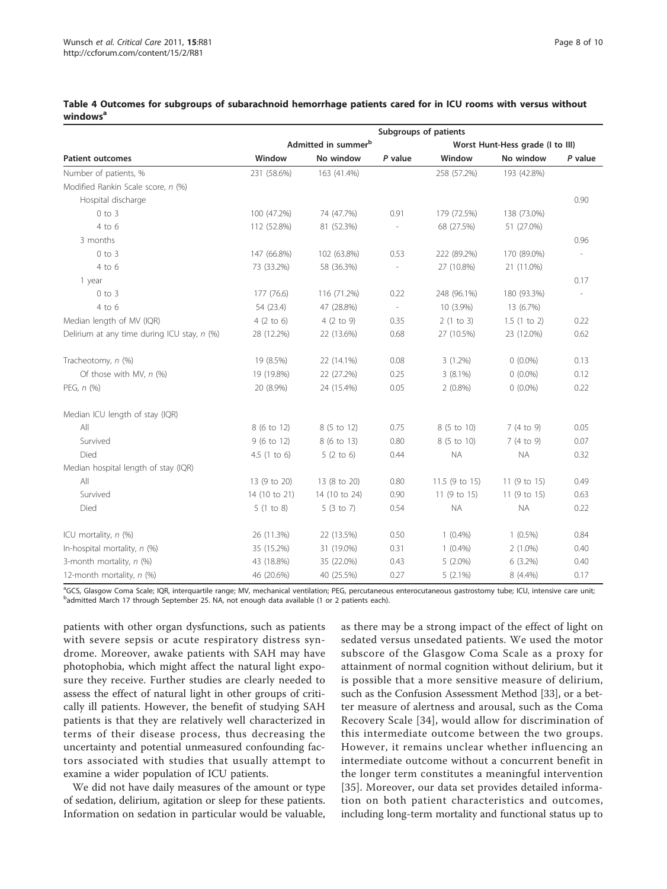|                                               | Subgroups of patients           |                      |         |                                  |              |           |  |
|-----------------------------------------------|---------------------------------|----------------------|---------|----------------------------------|--------------|-----------|--|
|                                               | Admitted in summer <sup>b</sup> |                      |         | Worst Hunt-Hess grade (I to III) |              |           |  |
| <b>Patient outcomes</b>                       | Window                          | No window            | P value | Window                           | No window    | $P$ value |  |
| Number of patients, %                         | 231 (58.6%)                     | 163 (41.4%)          |         | 258 (57.2%)                      | 193 (42.8%)  |           |  |
| Modified Rankin Scale score, n (%)            |                                 |                      |         |                                  |              |           |  |
| Hospital discharge                            |                                 |                      |         |                                  |              | 0.90      |  |
| $0$ to $3$                                    | 100 (47.2%)                     | 74 (47.7%)           | 0.91    | 179 (72.5%)                      | 138 (73.0%)  |           |  |
| $4$ to $6$                                    | 112 (52.8%)                     | 81 (52.3%)           |         | 68 (27.5%)                       | 51 (27.0%)   |           |  |
| 3 months                                      |                                 |                      |         |                                  |              | 0.96      |  |
| $0$ to $3$                                    | 147 (66.8%)                     | 102 (63.8%)          | 0.53    | 222 (89.2%)                      | 170 (89.0%)  |           |  |
| 4 to 6                                        | 73 (33.2%)                      | 58 (36.3%)           |         | 27 (10.8%)                       | 21 (11.0%)   |           |  |
| 1 year                                        |                                 |                      |         |                                  |              | 0.17      |  |
| $0$ to $3$                                    | 177 (76.6)                      | 116 (71.2%)          | 0.22    | 248 (96.1%)                      | 180 (93.3%)  |           |  |
| $4$ to $6$                                    | 54 (23.4)                       | 47 (28.8%)           | $\sim$  | 10 (3.9%)                        | 13 (6.7%)    |           |  |
| Median length of MV (IQR)                     | $4(2 \text{ to } 6)$            | $4(2 \text{ to } 9)$ | 0.35    | 2(1 to 3)                        | 1.5(1 to 2)  | 0.22      |  |
| Delirium at any time during ICU stay, $n$ (%) | 28 (12.2%)                      | 22 (13.6%)           | 0.68    | 27 (10.5%)                       | 23 (12.0%)   | 0.62      |  |
| Tracheotomy, n (%)                            | 19 (8.5%)                       | 22 (14.1%)           | 0.08    | $3(1.2\%)$                       | $0(0.0\%)$   | 0.13      |  |
| Of those with MV, $n$ (%)                     | 19 (19.8%)                      | 22 (27.2%)           | 0.25    | $3(8.1\%)$                       | $0(0.0\%)$   | 0.12      |  |
| PEG, n (%)                                    | 20 (8.9%)                       | 24 (15.4%)           | 0.05    | $2(0.8\%)$                       | $0(0.0\%)$   | 0.22      |  |
| Median ICU length of stay (IQR)               |                                 |                      |         |                                  |              |           |  |
| All                                           | 8 (6 to 12)                     | 8 (5 to 12)          | 0.75    | 8 (5 to 10)                      | 7(4 to 9)    | 0.05      |  |
| Survived                                      | 9 (6 to 12)                     | 8 (6 to 13)          | 0.80    | 8 (5 to 10)                      | 7 (4 to 9)   | 0.07      |  |
| Died                                          | 4.5(1 to 6)                     | $5(2 \text{ to } 6)$ | 0.44    | <b>NA</b>                        | <b>NA</b>    | 0.32      |  |
| Median hospital length of stay (IQR)          |                                 |                      |         |                                  |              |           |  |
| All                                           | 13 (9 to 20)                    | 13 (8 to 20)         | 0.80    | 11.5 (9 to 15)                   | 11 (9 to 15) | 0.49      |  |
| Survived                                      | 14 (10 to 21)                   | 14 (10 to 24)        | 0.90    | 11 (9 to 15)                     | 11 (9 to 15) | 0.63      |  |
| Died                                          | 5(1 to 8)                       | 5(3 to 7)            | 0.54    | <b>NA</b>                        | <b>NA</b>    | 0.22      |  |
| ICU mortality, $n$ (%)                        | 26 (11.3%)                      | 22 (13.5%)           | 0.50    | $1(0.4\%)$                       | $1(0.5\%)$   | 0.84      |  |
| In-hospital mortality, $n$ (%)                | 35 (15.2%)                      | 31 (19.0%)           | 0.31    | $1(0.4\%)$                       | $2(1.0\%)$   | 0.40      |  |
| 3-month mortality, n (%)                      | 43 (18.8%)                      | 35 (22.0%)           | 0.43    | $5(2.0\%)$                       | $6(3.2\%)$   | 0.40      |  |
| 12-month mortality, n (%)                     | 46 (20.6%)                      | 40 (25.5%)           | 0.27    | $5(2.1\%)$                       | 8 (4.4%)     | 0.17      |  |

#### <span id="page-7-0"></span>Table 4 Outcomes for subgroups of subarachnoid hemorrhage patients cared for in ICU rooms with versus without windows<sup>a</sup>

<sup>a</sup>GCS, Glasgow Coma Scale; IQR, interquartile range; MV, mechanical ventilation; PEG, percutaneous enterocutaneous gastrostomy tube; ICU, intensive care unit; b<br><sup>b</sup>admitted March 17 through September 25. NA, not enough data available (1 or 2 patients each).

patients with other organ dysfunctions, such as patients with severe sepsis or acute respiratory distress syndrome. Moreover, awake patients with SAH may have photophobia, which might affect the natural light exposure they receive. Further studies are clearly needed to assess the effect of natural light in other groups of critically ill patients. However, the benefit of studying SAH patients is that they are relatively well characterized in terms of their disease process, thus decreasing the uncertainty and potential unmeasured confounding factors associated with studies that usually attempt to examine a wider population of ICU patients.

We did not have daily measures of the amount or type of sedation, delirium, agitation or sleep for these patients. Information on sedation in particular would be valuable,

as there may be a strong impact of the effect of light on sedated versus unsedated patients. We used the motor subscore of the Glasgow Coma Scale as a proxy for attainment of normal cognition without delirium, but it is possible that a more sensitive measure of delirium, such as the Confusion Assessment Method [[33\]](#page-9-0), or a better measure of alertness and arousal, such as the Coma Recovery Scale [[34](#page-9-0)], would allow for discrimination of this intermediate outcome between the two groups. However, it remains unclear whether influencing an intermediate outcome without a concurrent benefit in the longer term constitutes a meaningful intervention [[35](#page-9-0)]. Moreover, our data set provides detailed information on both patient characteristics and outcomes, including long-term mortality and functional status up to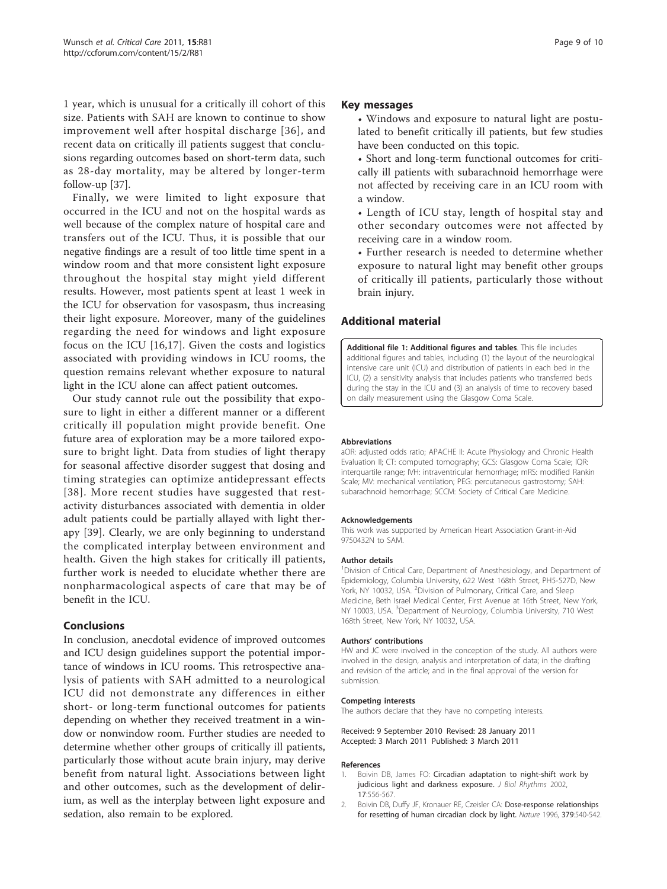<span id="page-8-0"></span>1 year, which is unusual for a critically ill cohort of this size. Patients with SAH are known to continue to show improvement well after hospital discharge [[36](#page-9-0)], and recent data on critically ill patients suggest that conclusions regarding outcomes based on short-term data, such as 28-day mortality, may be altered by longer-term follow-up [[37](#page-9-0)].

Finally, we were limited to light exposure that occurred in the ICU and not on the hospital wards as well because of the complex nature of hospital care and transfers out of the ICU. Thus, it is possible that our negative findings are a result of too little time spent in a window room and that more consistent light exposure throughout the hospital stay might yield different results. However, most patients spent at least 1 week in the ICU for observation for vasospasm, thus increasing their light exposure. Moreover, many of the guidelines regarding the need for windows and light exposure focus on the ICU [\[16](#page-9-0),[17\]](#page-9-0). Given the costs and logistics associated with providing windows in ICU rooms, the question remains relevant whether exposure to natural light in the ICU alone can affect patient outcomes.

Our study cannot rule out the possibility that exposure to light in either a different manner or a different critically ill population might provide benefit. One future area of exploration may be a more tailored exposure to bright light. Data from studies of light therapy for seasonal affective disorder suggest that dosing and timing strategies can optimize antidepressant effects [[38](#page-9-0)]. More recent studies have suggested that restactivity disturbances associated with dementia in older adult patients could be partially allayed with light therapy [[39](#page-9-0)]. Clearly, we are only beginning to understand the complicated interplay between environment and health. Given the high stakes for critically ill patients, further work is needed to elucidate whether there are nonpharmacological aspects of care that may be of benefit in the ICU.

# Conclusions

In conclusion, anecdotal evidence of improved outcomes and ICU design guidelines support the potential importance of windows in ICU rooms. This retrospective analysis of patients with SAH admitted to a neurological ICU did not demonstrate any differences in either short- or long-term functional outcomes for patients depending on whether they received treatment in a window or nonwindow room. Further studies are needed to determine whether other groups of critically ill patients, particularly those without acute brain injury, may derive benefit from natural light. Associations between light and other outcomes, such as the development of delirium, as well as the interplay between light exposure and sedation, also remain to be explored.

#### Key messages

• Windows and exposure to natural light are postulated to benefit critically ill patients, but few studies have been conducted on this topic.

• Short and long-term functional outcomes for critically ill patients with subarachnoid hemorrhage were not affected by receiving care in an ICU room with a window.

• Length of ICU stay, length of hospital stay and other secondary outcomes were not affected by receiving care in a window room.

• Further research is needed to determine whether exposure to natural light may benefit other groups of critically ill patients, particularly those without brain injury.

# Additional material

[Additional file 1: A](http://www.biomedcentral.com/content/supplementary/cc10075-S1.DOC)dditional figures and tables. This file includes additional figures and tables, including (1) the layout of the neurological intensive care unit (ICU) and distribution of patients in each bed in the ICU, (2) a sensitivity analysis that includes patients who transferred beds during the stay in the ICU and (3) an analysis of time to recovery based on daily measurement using the Glasgow Coma Scale.

#### Abbreviations

aOR: adjusted odds ratio; APACHE II: Acute Physiology and Chronic Health Evaluation II; CT: computed tomography; GCS: Glasgow Coma Scale; IQR: interquartile range; IVH: intraventricular hemorrhage; mRS: modified Rankin Scale; MV: mechanical ventilation; PEG: percutaneous gastrostomy; SAH: subarachnoid hemorrhage; SCCM: Society of Critical Care Medicine.

#### Acknowledgements

This work was supported by American Heart Association Grant-in-Aid 9750432N to SAM.

#### Author details

<sup>1</sup> Division of Critical Care, Department of Anesthesiology, and Department of Epidemiology, Columbia University, 622 West 168th Street, PH5-527D, New York, NY 10032, USA. <sup>2</sup>Division of Pulmonary, Critical Care, and Sleep Medicine, Beth Israel Medical Center, First Avenue at 16th Street, New York, NY 10003, USA. <sup>3</sup>Department of Neurology, Columbia University, 710 West 168th Street, New York, NY 10032, USA.

#### Authors' contributions

HW and JC were involved in the conception of the study. All authors were involved in the design, analysis and interpretation of data; in the drafting and revision of the article; and in the final approval of the version for submission.

#### Competing interests

The authors declare that they have no competing interests.

Received: 9 September 2010 Revised: 28 January 2011 Accepted: 3 March 2011 Published: 3 March 2011

#### References

- 1. Boivin DB, James FO: [Circadian adaptation to night-shift work by](http://www.ncbi.nlm.nih.gov/pubmed/12465889?dopt=Abstract) [judicious light and darkness exposure.](http://www.ncbi.nlm.nih.gov/pubmed/12465889?dopt=Abstract) J Biol Rhythms 2002, 17:556-567.
- 2. Boivin DB, Duffy JF, Kronauer RE, Czeisler CA: [Dose-response relationships](http://www.ncbi.nlm.nih.gov/pubmed/8596632?dopt=Abstract) [for resetting of human circadian clock by light.](http://www.ncbi.nlm.nih.gov/pubmed/8596632?dopt=Abstract) Nature 1996, 379:540-542.